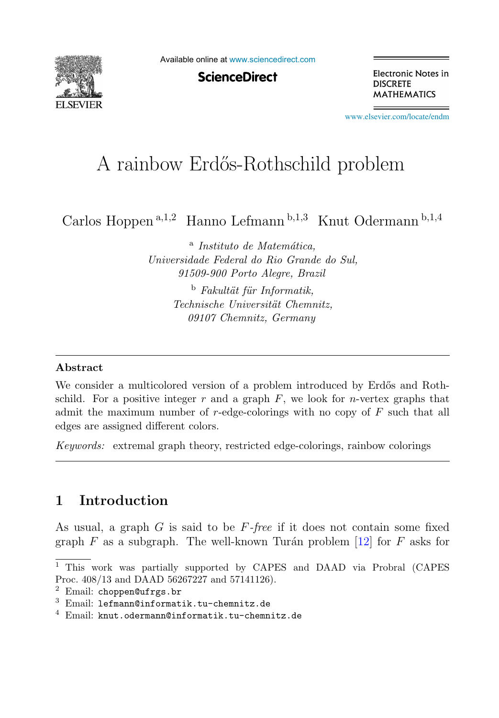

Available online at [www.sciencedirect.com](http://www.sciencedirect.com)

**ScienceDirect** 

Electronic Notes in **DISCRETE MATHEMATICS** 

[www.elsevier.com/locate/endm](http://www.elsevier.com/locate/endm)

# A rainbow Erdős-Rothschild problem

Carlos Hoppen <sup>a</sup>,1,<sup>2</sup> Hanno Lefmann <sup>b</sup>,1,<sup>3</sup> Knut Odermann <sup>b</sup>,1,<sup>4</sup>

<sup>a</sup> *Instituto de Matem´atica, Universidade Federal do Rio Grande do Sul, 91509-900 Porto Alegre, Brazil*

> <sup>b</sup> *Fakult¨at f¨ur Informatik, Technische Universität Chemnitz. 09107 Chemnitz, Germany*

#### **Abstract**

We consider a multicolored version of a problem introduced by Erdős and Rothschild. For a positive integer r and a graph  $F$ , we look for n-vertex graphs that admit the maximum number of  $r$ -edge-colorings with no copy of  $F$  such that all edges are assigned different colors.

*Keywords:* extremal graph theory, restricted edge-colorings, rainbow colorings

# **1 Introduction**

As usual, a graph  $G$  is said to be  $F$ -free if it does not contain some fixed graph  $F$  as a subgraph. The well-known Turán problem [12] for  $F$  asks for

<sup>1</sup> This work was partially supported by CAPES and DAAD via Probral (CAPES Proc. 408/13 and DAAD 56267227 and 57141126).

 $2$  Email: choppen@ufrgs.br

<sup>3</sup> Email: lefmann@informatik.tu-chemnitz.de

 $4$  Email: knut.odermann@informatik.tu-chemnitz.de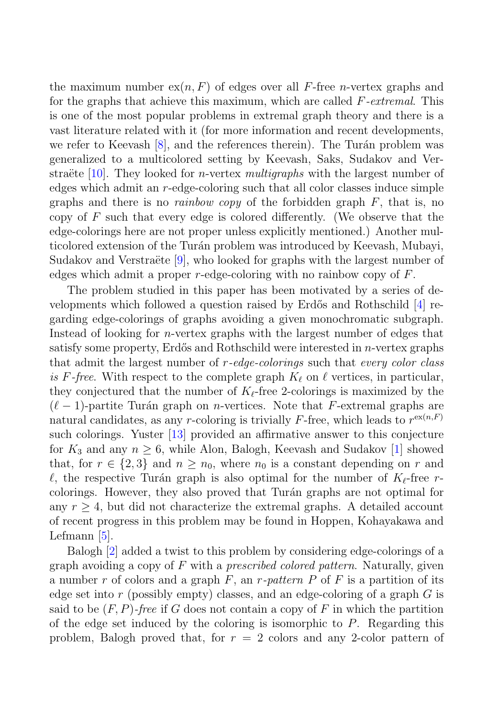the maximum number  $ex(n, F)$  of edges over all F-free *n*-vertex graphs and for the graphs that achieve this maximum, which are called F-extremal. This is one of the most popular problems in extremal graph theory and there is a vast literature related with it (for more information and recent developments, we refer to Keevash  $[8]$ , and the references therein). The Turán problem was generalized to a multicolored setting by Keevash, Saks, Sudakov and Verstraëte [10]. They looked for *n*-vertex *multigraphs* with the largest number of edges which admit an r-edge-coloring such that all color classes induce simple graphs and there is no *rainbow copy* of the forbidden graph  $F$ , that is, no copy of  $F$  such that every edge is colored differently. (We observe that the edge-colorings here are not proper unless explicitly mentioned.) Another multicolored extension of the Turán problem was introduced by Keevash, Mubayi, Sudakov and Verstraëte  $[9]$ , who looked for graphs with the largest number of edges which admit a proper  $r$ -edge-coloring with no rainbow copy of  $F$ .

The problem studied in this paper has been motivated by a series of developments which followed a question raised by Erdős and Rothschild  $[4]$  regarding edge-colorings of graphs avoiding a given monochromatic subgraph. Instead of looking for n-vertex graphs with the largest number of edges that satisfy some property, Erdős and Rothschild were interested in  $n$ -vertex graphs that admit the largest number of  $r$ -edge-colorings such that every color class is F-free. With respect to the complete graph  $K_{\ell}$  on  $\ell$  vertices, in particular, they conjectured that the number of  $K_{\ell}$ -free 2-colorings is maximized by the  $(\ell - 1)$ -partite Turán graph on *n*-vertices. Note that F-extremal graphs are natural candidates, as any r-coloring is trivially F-free, which leads to  $r^{\exp(n,F)}$ such colorings. Yuster [13] provided an affirmative answer to this conjecture for  $K_3$  and any  $n \geq 6$ , while Alon, Balogh, Keevash and Sudakov [1] showed that, for  $r \in \{2,3\}$  and  $n \geq n_0$ , where  $n_0$  is a constant depending on r and  $\ell$ , the respective Turán graph is also optimal for the number of  $K_{\ell}$ -free rcolorings. However, they also proved that Turán graphs are not optimal for any  $r \geq 4$ , but did not characterize the extremal graphs. A detailed account of recent progress in this problem may be found in Hoppen, Kohayakawa and Lefmann [5].

Balogh [2] added a twist to this problem by considering edge-colorings of a graph avoiding a copy of  $F$  with a *prescribed colored pattern*. Naturally, given a number r of colors and a graph  $F$ , an r-pattern P of F is a partition of its edge set into r (possibly empty) classes, and an edge-coloring of a graph  $G$  is said to be  $(F, P)$ -free if G does not contain a copy of F in which the partition of the edge set induced by the coloring is isomorphic to  $P$ . Regarding this problem, Balogh proved that, for  $r = 2$  colors and any 2-color pattern of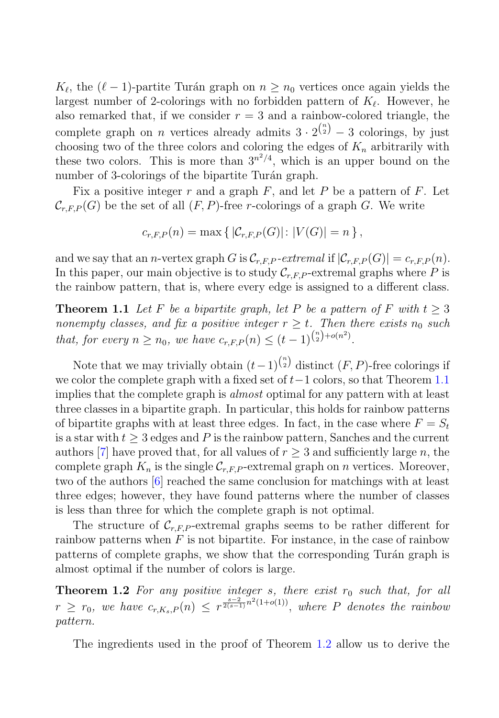$K_{\ell}$ , the  $(\ell - 1)$ -partite Turán graph on  $n \geq n_0$  vertices once again yields the largest number of 2-colorings with no forbidden pattern of  $K_{\ell}$ . However, he also remarked that, if we consider  $r = 3$  and a rainbow-colored triangle, the complete graph on *n* vertices already admits  $3 \cdot 2^{n \choose 2} - 3$  colorings, by just choosing two of the three colors and coloring the edges of  $K_n$  arbitrarily with these two colors. This is more than  $3^{n^2/4}$ , which is an upper bound on the number of 3-colorings of the bipartite Turán graph.

Fix a positive integer r and a graph  $F$ , and let P be a pattern of F. Let  $\mathcal{C}_{r,F,P}(G)$  be the set of all  $(F, P)$ -free r-colorings of a graph G. We write

$$
c_{r,F,P}(n) = \max \{ |C_{r,F,P}(G)| : |V(G)| = n \},\
$$

and we say that an *n*-vertex graph G is  $\mathcal{C}_{r,F,P}$ -extremal if  $|\mathcal{C}_{r,F,P}(G)| = c_{r,F,P}(n)$ . In this paper, our main objective is to study  $\mathcal{C}_{r,F,P}$ -extremal graphs where P is the rainbow pattern, that is, where every edge is assigned to a different class.

**Theorem 1.1** Let F be a bipartite graph, let P be a pattern of F with  $t > 3$ nonempty classes, and fix a positive integer  $r \geq t$ . Then there exists  $n_0$  such that, for every  $n \ge n_0$ , we have  $c_{r,F,P}(n) \le (t-1)^{\binom{n}{2} + o(n^2)}$ .

Note that we may trivially obtain  $(t-1)^{n \choose 2}$  distinct  $(F, P)$ -free colorings if we color the complete graph with a fixed set of  $t-1$  colors, so that Theorem 1.1 implies that the complete graph is almost optimal for any pattern with at least three classes in a bipartite graph. In particular, this holds for rainbow patterns of bipartite graphs with at least three edges. In fact, in the case where  $F = S_t$ is a star with  $t > 3$  edges and P is the rainbow pattern, Sanches and the current authors [7] have proved that, for all values of  $r > 3$  and sufficiently large n, the complete graph  $K_n$  is the single  $\mathcal{C}_{r,F,P}$ -extremal graph on *n* vertices. Moreover, two of the authors [6] reached the same conclusion for matchings with at least three edges; however, they have found patterns where the number of classes is less than three for which the complete graph is not optimal.

The structure of  $\mathcal{C}_{r,F,P}$ -extremal graphs seems to be rather different for rainbow patterns when  $F$  is not bipartite. For instance, in the case of rainbow patterns of complete graphs, we show that the corresponding Turán graph is almost optimal if the number of colors is large.

**Theorem 1.2** For any positive integer s, there exist  $r_0$  such that, for all  $r \geq r_0$ , we have  $c_{r,K_s,P}(n) \leq r^{\frac{s-2}{2(s-1)}n^2(1+o(1))}$ , where P denotes the rainbow pattern.

The ingredients used in the proof of Theorem 1.2 allow us to derive the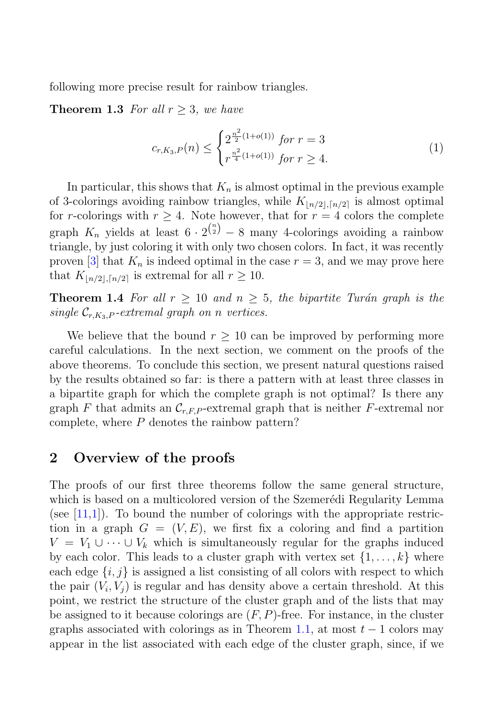following more precise result for rainbow triangles.

**Theorem 1.3** For all  $r \geq 3$ , we have

$$
c_{r,K_3,P}(n) \le \begin{cases} 2^{\frac{n^2}{2}(1+o(1))} & \text{for } r=3\\ r^{\frac{n^2}{4}(1+o(1))} & \text{for } r\ge 4. \end{cases}
$$
 (1)

In particular, this shows that  $K_n$  is almost optimal in the previous example of 3-colorings avoiding rainbow triangles, while  $K_{\lfloor n/2 \rfloor,\lceil n/2 \rceil}$  is almost optimal for r-colorings with  $r \geq 4$ . Note however, that for  $r = 4$  colors the complete graph  $K_n$  yields at least  $6 \cdot 2^{n \choose 2} - 8$  many 4-colorings avoiding a rainbow triangle, by just coloring it with only two chosen colors. In fact, it was recently proven [3] that  $K_n$  is indeed optimal in the case  $r = 3$ , and we may prove here that  $K_{\lfloor n/2 \rfloor, \lceil n/2 \rceil}$  is extremal for all  $r \ge 10$ .

**Theorem 1.4** For all  $r \geq 10$  and  $n \geq 5$ , the bipartite Turán graph is the single  $\mathcal{C}_{r,K_3,P}$ -extremal graph on n vertices.

We believe that the bound  $r > 10$  can be improved by performing more careful calculations. In the next section, we comment on the proofs of the above theorems. To conclude this section, we present natural questions raised by the results obtained so far: is there a pattern with at least three classes in a bipartite graph for which the complete graph is not optimal? Is there any graph F that admits an  $\mathcal{C}_{r,F,P}$ -extremal graph that is neither F-extremal nor complete, where P denotes the rainbow pattern?

## **2 Overview of the proofs**

The proofs of our first three theorems follow the same general structure, which is based on a multicolored version of the Szemerédi Regularity Lemma (see  $[11,1]$ ). To bound the number of colorings with the appropriate restriction in a graph  $G = (V, E)$ , we first fix a coloring and find a partition  $V = V_1 \cup \cdots \cup V_k$  which is simultaneously regular for the graphs induced by each color. This leads to a cluster graph with vertex set  $\{1,\ldots,k\}$  where each edge  $\{i, j\}$  is assigned a list consisting of all colors with respect to which the pair  $(V_i, V_j)$  is regular and has density above a certain threshold. At this point, we restrict the structure of the cluster graph and of the lists that may be assigned to it because colorings are  $(F, P)$ -free. For instance, in the cluster graphs associated with colorings as in Theorem 1.1, at most  $t-1$  colors may appear in the list associated with each edge of the cluster graph, since, if we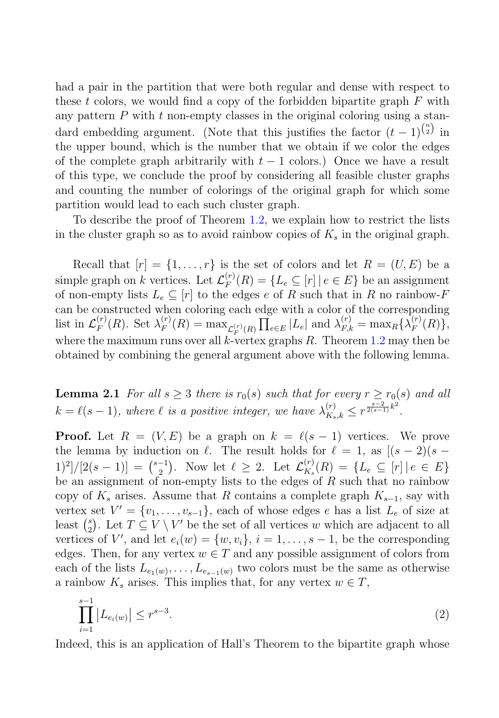had a pair in the partition that were both regular and dense with respect to these t colors, we would find a copy of the forbidden bipartite graph  $F$  with any pattern  $P$  with  $t$  non-empty classes in the original coloring using a standard embedding argument. (Note that this justifies the factor  $(t-1)^{\binom{n}{2}}$  in the upper bound, which is the number that we obtain if we color the edges of the complete graph arbitrarily with  $t - 1$  colors.) Once we have a result of this type, we conclude the proof by considering all feasible cluster graphs and counting the number of colorings of the original graph for which some partition would lead to each such cluster graph.

To describe the proof of Theorem 1.2, we explain how to restrict the lists in the cluster graph so as to avoid rainbow copies of  $K_s$  in the original graph.

Recall that  $[r] = \{1, \ldots, r\}$  is the set of colors and let  $R = (U, E)$  be a simple graph on k vertices. Let  $\mathcal{L}_F^{(r)}(R) = \{L_e \subseteq [r] | e \in E \}$  be an assignment of non-empty lists  $L_e \subseteq [r]$  to the edges e of R such that in R no rainbow-F can be constructed when coloring each edge with a color of the corresponding list in  $\mathcal{L}_F^{(r)}(R)$ . Set  $\lambda_F^{(r)}(R) = \max_{\mathcal{L}_F^{(r)}(R)} \prod_{e \in E} |L_e|$  and  $\lambda_{F,k}^{(r)} = \max_R {\lambda_F^{(r)}(R)},$ where the maximum runs over all k-vertex graphs R. Theorem  $1.2$  may then be obtained by combining the general argument above with the following lemma.

**Lemma 2.1** For all  $s \geq 3$  there is  $r_0(s)$  such that for every  $r \geq r_0(s)$  and all  $k = \ell(s-1)$ , where  $\ell$  is a positive integer, we have  $\lambda_{K_s,k}^{(r)} \leq r^{\frac{s-2}{2(s-1)}k^2}$ .

**Proof.** Let  $R = (V, E)$  be a graph on  $k = \ell(s - 1)$  vertices. We prove the lemma by induction on  $\ell$ . The result holds for  $\ell = 1$ , as  $[(s-2)(s (1)^2]/[2(s-1)] = {s-1 \choose 2}$ . Now let  $\ell \geq 2$ . Let  $\mathcal{L}_{K_s}^{(r)}(R) = \{L_e \subseteq [r] | e \in E\}$ be an assignment of non-empty lists to the edges of  $R$  such that no rainbow copy of  $K_s$  arises. Assume that R contains a complete graph  $K_{s-1}$ , say with vertex set  $V' = \{v_1, \ldots, v_{s-1}\}\$ , each of whose edges e has a list  $L_e$  of size at least  $\binom{s}{2}$ . Let  $T \subseteq V \setminus V'$  be the set of all vertices w which are adjacent to all vertices of V', and let  $e_i(w) = \{w, v_i\}, i = 1, \ldots, s - 1$ , be the corresponding edges. Then, for any vertex  $w \in T$  and any possible assignment of colors from each of the lists  $L_{e_1(w)},\ldots,L_{e_{s-1}(w)}$  two colors must be the same as otherwise a rainbow  $K_s$  arises. This implies that, for any vertex  $w \in T$ ,

$$
\prod_{i=1}^{s-1} |L_{e_i(w)}| \le r^{s-3}.
$$
\n(2)

Indeed, this is an application of Hall's Theorem to the bipartite graph whose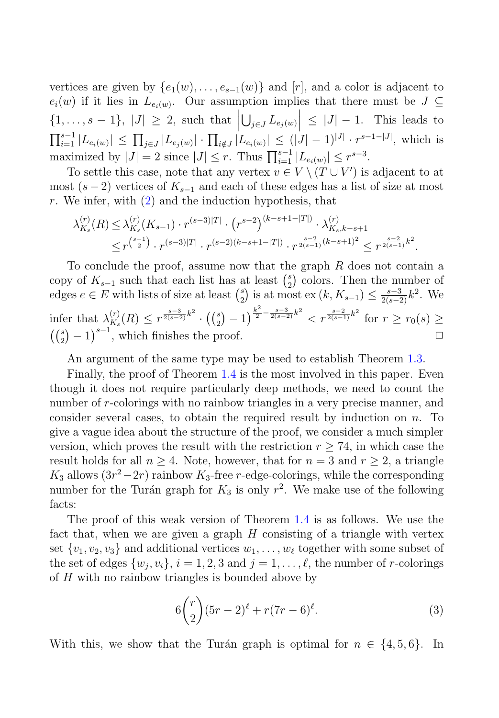vertices are given by  $\{e_1(w), \ldots, e_{s-1}(w)\}\$  and  $[r]$ , and a color is adjacent to  $e_i(w)$  if it lies in  $L_{e_i(w)}$ . Our assumption implies that there must be  $J \subseteq$  $\{1,\ldots,s-1\}, |J| \geq 2$ , such that  $\left|\bigcup_{j\in J} L_{e_j(w)}\right| \leq |J|-1$ . This leads to  $\left| \sum_{j\in J}^{s-1} |L_{e_i(w)}| \right| \le \prod_{j\in J} |L_{e_j(w)}| \cdot \prod_{i \notin J} |L_{e_i(w)}| \le (|J| - 1)^{|J|} \cdot r^{s-1-|J|}$ , which is maximized by  $|J| = 2$  since  $|J| \leq r$ . Thus  $\prod_{i=1}^{s-1} |L_{e_i(w)}| \leq r^{s-3}$ .

To settle this case, note that any vertex  $v \in V \setminus (T \cup V')$  is adjacent to at most  $(s-2)$  vertices of  $K_{s-1}$  and each of these edges has a list of size at most r. We infer, with  $(2)$  and the induction hypothesis, that

$$
\lambda_{K_s}^{(r)}(R) \leq \lambda_{K_s}^{(r)}(K_{s-1}) \cdot r^{(s-3)|T|} \cdot (r^{s-2})^{(k-s+1-|T|)} \cdot \lambda_{K_s,k-s+1}^{(r)} \leq r^{\binom{s-1}{2}} \cdot r^{(s-3)|T|} \cdot r^{(s-2)(k-s+1-|T|)} \cdot r^{\frac{s-2}{2(s-1)}(k-s+1)^2} \leq r^{\frac{s-2}{2(s-1)}k^2}.
$$

To conclude the proof, assume now that the graph R does not contain a copy of  $K_{s-1}$  such that each list has at least  $\binom{s}{2}$  colors. Then the number of edges  $e \in E$  with lists of size at least  $\binom{s}{2}$  is at most  $\text{ex}(k, K_{s-1}) \leq \frac{s-3}{2(s-2)}k^2$ . We  $\inf \inf \limits_{A_s} \lambda^{(r)}_s(R) \leq r^{\frac{s-3}{2(s-2)}k^2} \cdot \left( \binom{s}{2} - 1 \right)^{\frac{k^2}{2} - \frac{s-3}{2(s-2)}k^2} < r^{\frac{s-2}{2(s-1)}k^2} \text{ for } r \geq r_0(s) \geq$  $\left(\binom{s}{2} - 1\right)^{s-1}$ , which finishes the proof.  $\square$ 

An argument of the same type may be used to establish Theorem 1.3.

Finally, the proof of Theorem 1.4 is the most involved in this paper. Even though it does not require particularly deep methods, we need to count the number of r-colorings with no rainbow triangles in a very precise manner, and consider several cases, to obtain the required result by induction on  $n$ . To give a vague idea about the structure of the proof, we consider a much simpler version, which proves the result with the restriction  $r \geq 74$ , in which case the result holds for all  $n \geq 4$ . Note, however, that for  $n = 3$  and  $r \geq 2$ , a triangle  $K_3$  allows  $(3r^2-2r)$  rainbow  $K_3$ -free r-edge-colorings, while the corresponding number for the Turán graph for  $K_3$  is only  $r^2$ . We make use of the following facts:

The proof of this weak version of Theorem 1.4 is as follows. We use the fact that, when we are given a graph  $H$  consisting of a triangle with vertex set  $\{v_1, v_2, v_3\}$  and additional vertices  $w_1, \ldots, w_\ell$  together with some subset of the set of edges  $\{w_j, v_i\}, i = 1, 2, 3$  and  $j = 1, \ldots, \ell$ , the number of r-colorings of H with no rainbow triangles is bounded above by

$$
6\binom{r}{2}(5r-2)^{\ell} + r(7r-6)^{\ell}.
$$
 (3)

With this, we show that the Turán graph is optimal for  $n \in \{4, 5, 6\}$ . In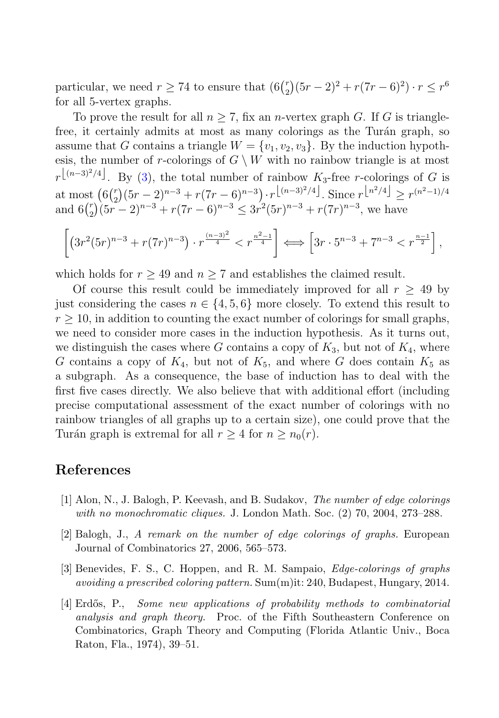particular, we need  $r \ge 74$  to ensure that  $(6 {r \choose 2} (5r - 2)^2 + r(7r - 6)^2) \cdot r \le r^6$ for all 5-vertex graphs.

To prove the result for all  $n \geq 7$ , fix an *n*-vertex graph G. If G is trianglefree, it certainly admits at most as many colorings as the Turán graph, so assume that G contains a triangle  $W = \{v_1, v_2, v_3\}$ . By the induction hypothesis, the number of r-colorings of  $G \setminus W$  with no rainbow triangle is at most  $r^{\lfloor (n-3)^2/4 \rfloor}$ . By (3), the total number of rainbow  $K_3$ -free r-colorings of G is at most  $(6\binom{r}{2}(5r-2)^{n-3}+r(7r-6)^{n-3})\cdot r^{\lfloor(n-3)^2/4\rfloor}$ . Since  $r^{\lfloor n^2/4\rfloor} \geq r^{(n^2-1)/4}$ and  $6\binom{r}{2}(5r-2)^{n-3} + r(7r-6)^{n-3} \leq 3r^2(5r)^{n-3} + r(7r)^{n-3}$ , we have

$$
\left[ \left( 3r^2(5r)^{n-3} + r(7r)^{n-3} \right) \cdot r^{\frac{(n-3)^2}{4}} < r^{\frac{n^2-1}{4}} \right] \Longleftrightarrow \left[ 3r \cdot 5^{n-3} + 7^{n-3} < r^{\frac{n-1}{2}} \right],
$$

which holds for  $r \geq 49$  and  $n \geq 7$  and establishes the claimed result.

Of course this result could be immediately improved for all  $r \geq 49$  by just considering the cases  $n \in \{4, 5, 6\}$  more closely. To extend this result to  $r \geq 10$ , in addition to counting the exact number of colorings for small graphs, we need to consider more cases in the induction hypothesis. As it turns out, we distinguish the cases where G contains a copy of  $K_3$ , but not of  $K_4$ , where G contains a copy of  $K_4$ , but not of  $K_5$ , and where G does contain  $K_5$  as a subgraph. As a consequence, the base of induction has to deal with the first five cases directly. We also believe that with additional effort (including precise computational assessment of the exact number of colorings with no rainbow triangles of all graphs up to a certain size), one could prove that the Turán graph is extremal for all  $r \geq 4$  for  $n \geq n_0(r)$ .

### **References**

- [1] Alon, N., J. Balogh, P. Keevash, and B. Sudakov, *The number of edge colorings with no monochromatic cliques.* J. London Math. Soc. (2) 70, 2004, 273–288.
- [2] Balogh, J., *A remark on the number of edge colorings of graphs.* European Journal of Combinatorics 27, 2006, 565–573.
- [3] Benevides, F. S., C. Hoppen, and R. M. Sampaio, *Edge-colorings of graphs avoiding a prescribed coloring pattern.* Sum(m)it: 240, Budapest, Hungary, 2014.
- [4] Erd˝os, P., *Some new applications of probability methods to combinatorial analysis and graph theory.* Proc. of the Fifth Southeastern Conference on Combinatorics, Graph Theory and Computing (Florida Atlantic Univ., Boca Raton, Fla., 1974), 39–51.